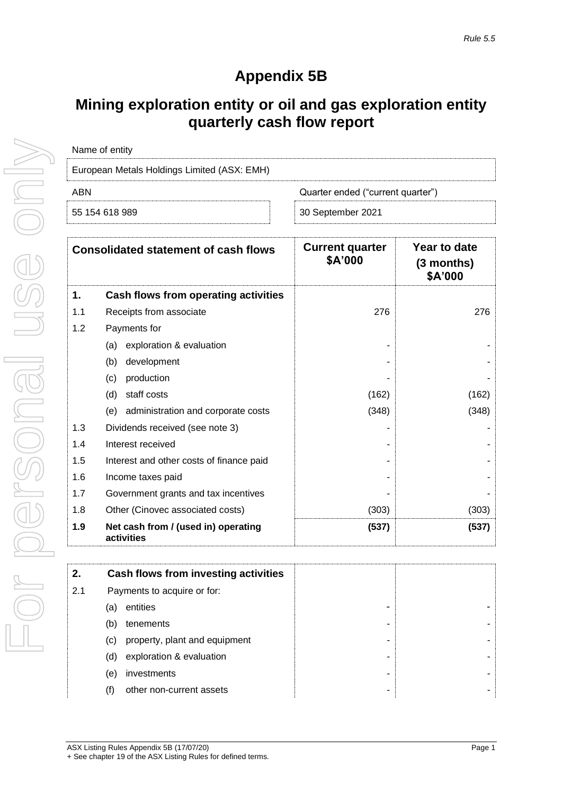## **Appendix 5B**

## **Mining exploration entity or oil and gas exploration entity quarterly cash flow report**

| Name of entity                              |                                   |
|---------------------------------------------|-----------------------------------|
| European Metals Holdings Limited (ASX: EMH) |                                   |
| ARN                                         | Quarter ended ("current quarter") |
| 55 154 618 989                              | 30 September 2021                 |

| <b>Consolidated statement of cash flows</b> |                                                   | <b>Current quarter</b><br>\$A'000 | Year to date<br>$(3$ months)<br>\$A'000 |  |
|---------------------------------------------|---------------------------------------------------|-----------------------------------|-----------------------------------------|--|
| 1.                                          | Cash flows from operating activities              |                                   |                                         |  |
| 1.1                                         | Receipts from associate                           | 276                               | 276                                     |  |
| 1.2                                         | Payments for                                      |                                   |                                         |  |
|                                             | exploration & evaluation<br>(a)                   |                                   |                                         |  |
|                                             | (b)<br>development                                |                                   |                                         |  |
|                                             | production<br>(c)                                 |                                   |                                         |  |
|                                             | staff costs<br>(d)                                | (162)                             | (162)                                   |  |
|                                             | administration and corporate costs<br>(e)         | (348)                             | (348)                                   |  |
| 1.3                                         | Dividends received (see note 3)                   |                                   |                                         |  |
| 1.4                                         | Interest received                                 |                                   |                                         |  |
| 1.5                                         | Interest and other costs of finance paid          |                                   |                                         |  |
| 1.6                                         | Income taxes paid                                 |                                   |                                         |  |
| 1.7                                         | Government grants and tax incentives              |                                   |                                         |  |
| 1.8                                         | Other (Cinovec associated costs)                  | (303)                             | (303)                                   |  |
| 1.9                                         | Net cash from / (used in) operating<br>activities | (537)                             | (537)                                   |  |

| 2.  | Cash flows from investing activities |   |  |
|-----|--------------------------------------|---|--|
| 2.1 | Payments to acquire or for:          |   |  |
|     | entities<br>(a)                      |   |  |
|     | tenements<br>(b)                     | - |  |
|     | property, plant and equipment<br>(C) | - |  |
|     | exploration & evaluation<br>(d)      | - |  |
|     | investments<br>(e)                   | - |  |
|     | other non-current assets             | ۰ |  |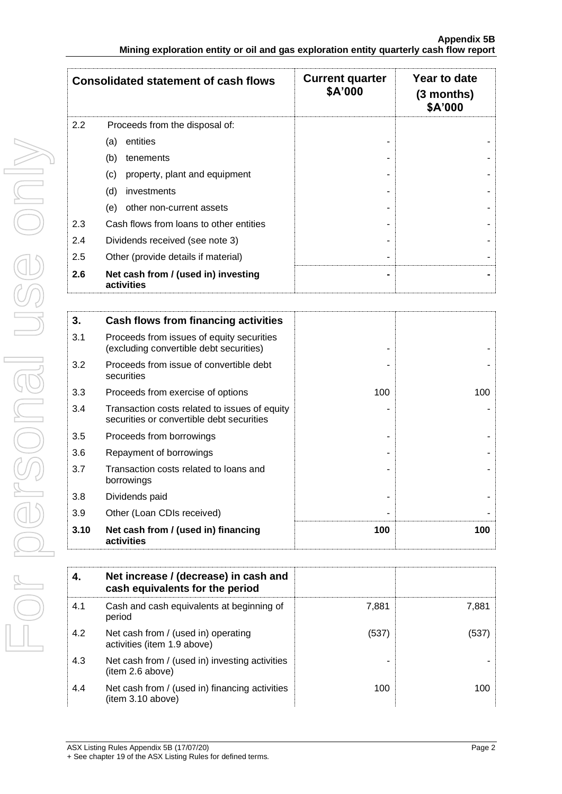| <b>Consolidated statement of cash flows</b> |                                                   | <b>Current quarter</b><br>\$A'000 | Year to date<br>$(3$ months)<br>\$A'000 |
|---------------------------------------------|---------------------------------------------------|-----------------------------------|-----------------------------------------|
| 2.2                                         | Proceeds from the disposal of:                    |                                   |                                         |
|                                             | entities<br>(a)                                   |                                   |                                         |
|                                             | (b)<br>tenements                                  |                                   |                                         |
|                                             | property, plant and equipment<br>(c)              |                                   |                                         |
|                                             | (d)<br>investments                                |                                   |                                         |
|                                             | other non-current assets<br>(e)                   |                                   |                                         |
| 2.3                                         | Cash flows from loans to other entities           |                                   |                                         |
| 2.4                                         | Dividends received (see note 3)                   |                                   |                                         |
| 2.5                                         | Other (provide details if material)               |                                   |                                         |
| 2.6                                         | Net cash from / (used in) investing<br>activities |                                   |                                         |

| 3.   | Cash flows from financing activities                                                       |     |     |
|------|--------------------------------------------------------------------------------------------|-----|-----|
| 3.1  | Proceeds from issues of equity securities<br>(excluding convertible debt securities)       |     |     |
| 3.2  | Proceeds from issue of convertible debt<br>securities                                      |     |     |
| 3.3  | Proceeds from exercise of options                                                          | 100 | 100 |
| 3.4  | Transaction costs related to issues of equity<br>securities or convertible debt securities |     |     |
| 3.5  | Proceeds from borrowings                                                                   |     |     |
| 3.6  | Repayment of borrowings                                                                    |     |     |
| 3.7  | Transaction costs related to loans and<br>borrowings                                       |     |     |
| 3.8  | Dividends paid                                                                             |     |     |
| 3.9  | Other (Loan CDIs received)                                                                 |     |     |
| 3.10 | Net cash from / (used in) financing<br>activities                                          | 100 | 100 |

|     | Net increase / (decrease) in cash and<br>cash equivalents for the period |       |       |
|-----|--------------------------------------------------------------------------|-------|-------|
| 4.1 | Cash and cash equivalents at beginning of<br>period                      | 7,881 | 7,881 |
| 4.2 | Net cash from / (used in) operating<br>activities (item 1.9 above)       | (537) | (537  |
| 4.3 | Net cash from / (used in) investing activities<br>item 2.6 above)        |       |       |
| 4.4 | Net cash from / (used in) financing activities<br>(item 3.10 above)      | 100   | 100   |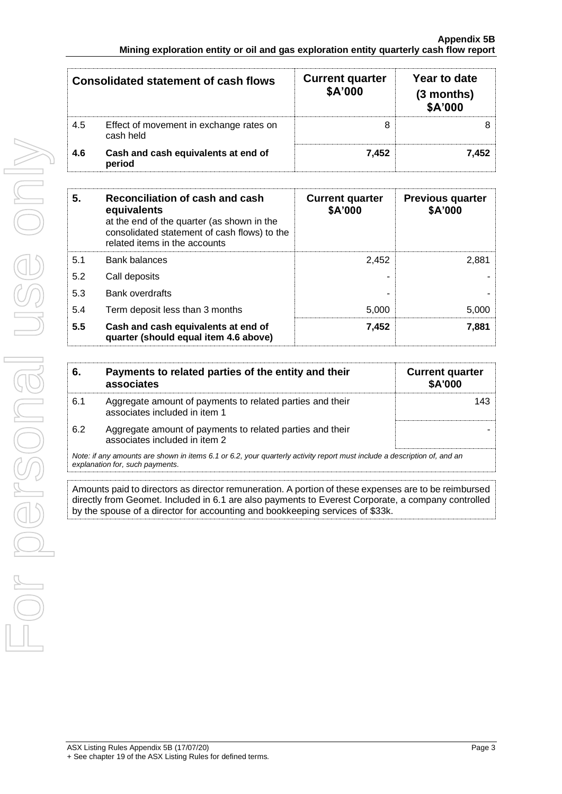| Consolidated statement of cash flows |                                                      | <b>Current quarter</b><br>\$A'000 | Year to date<br>(3 months)<br>\$A'000 |
|--------------------------------------|------------------------------------------------------|-----------------------------------|---------------------------------------|
| 4.5                                  | Effect of movement in exchange rates on<br>cash held |                                   |                                       |
| 4.6                                  | Cash and cash equivalents at end of<br>period        | 7.452                             | 7.452                                 |

| 5.  | Reconciliation of cash and cash<br>equivalents<br>at the end of the quarter (as shown in the<br>consolidated statement of cash flows) to the<br>related items in the accounts | <b>Current quarter</b><br>\$A'000 | <b>Previous quarter</b><br>\$A'000 |
|-----|-------------------------------------------------------------------------------------------------------------------------------------------------------------------------------|-----------------------------------|------------------------------------|
| 5.1 | <b>Bank balances</b>                                                                                                                                                          | 2.452                             | 2.881                              |
| 5.2 | Call deposits                                                                                                                                                                 |                                   |                                    |
| 5.3 | Bank overdrafts                                                                                                                                                               |                                   |                                    |
| 5.4 | Term deposit less than 3 months                                                                                                                                               | 5,000                             | 5.000                              |
| 5.5 | Cash and cash equivalents at end of<br>quarter (should equal item 4.6 above)                                                                                                  | 7,452                             | 7.881                              |

| 6.  | Payments to related parties of the entity and their<br>associates                                                        | <b>Current quarter</b><br><b>\$A'000</b> |
|-----|--------------------------------------------------------------------------------------------------------------------------|------------------------------------------|
| 6.1 | Aggregate amount of payments to related parties and their<br>associates included in item 1                               | 143.                                     |
| 6.2 | Aggregate amount of payments to related parties and their<br>associates included in item 2                               |                                          |
|     | Note: if any amounts are shown in items 6.1 or 6.2, your quarterly activity report must include a description of, and an |                                          |

*explanation for, such payments.*

Amounts paid to directors as director remuneration. A portion of these expenses are to be reimbursed directly from Geomet. Included in 6.1 are also payments to Everest Corporate, a company controlled by the spouse of a director for accounting and bookkeeping services of \$33k.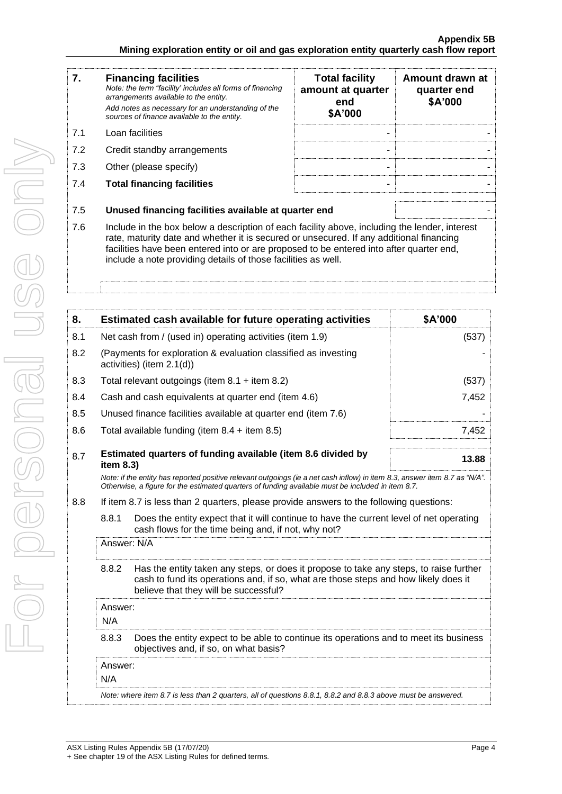| <b>Financing facilities</b><br>Note: the term "facility' includes all forms of financing<br>arrangements available to the entity.<br>Add notes as necessary for an understanding of the<br>sources of finance available to the entity.                                                                                                                      | <b>Total facility</b><br>amount at quarter<br>end<br>\$A'000 | Amount drawn at<br>quarter end<br>\$A'000            |
|-------------------------------------------------------------------------------------------------------------------------------------------------------------------------------------------------------------------------------------------------------------------------------------------------------------------------------------------------------------|--------------------------------------------------------------|------------------------------------------------------|
| Loan facilities                                                                                                                                                                                                                                                                                                                                             |                                                              |                                                      |
| Credit standby arrangements                                                                                                                                                                                                                                                                                                                                 |                                                              |                                                      |
| Other (please specify)                                                                                                                                                                                                                                                                                                                                      |                                                              |                                                      |
| <b>Total financing facilities</b>                                                                                                                                                                                                                                                                                                                           |                                                              |                                                      |
|                                                                                                                                                                                                                                                                                                                                                             |                                                              |                                                      |
| 7.6<br>Include in the box below a description of each facility above, including the lender, interest<br>rate, maturity date and whether it is secured or unsecured. If any additional financing<br>facilities have been entered into or are proposed to be entered into after quarter end,<br>include a note providing details of those facilities as well. |                                                              |                                                      |
|                                                                                                                                                                                                                                                                                                                                                             |                                                              | Unused financing facilities available at quarter end |

| 8.  |                                                                                                                                                                                                                                 | Estimated cash available for future operating activities                                                                                                                                                                        | \$A'000 |
|-----|---------------------------------------------------------------------------------------------------------------------------------------------------------------------------------------------------------------------------------|---------------------------------------------------------------------------------------------------------------------------------------------------------------------------------------------------------------------------------|---------|
| 8.1 |                                                                                                                                                                                                                                 | Net cash from / (used in) operating activities (item 1.9)                                                                                                                                                                       | (537)   |
| 8.2 |                                                                                                                                                                                                                                 | (Payments for exploration & evaluation classified as investing<br>activities) (item 2.1(d))                                                                                                                                     |         |
| 8.3 |                                                                                                                                                                                                                                 | Total relevant outgoings (item $8.1 +$ item $8.2$ )                                                                                                                                                                             | (537)   |
| 8.4 |                                                                                                                                                                                                                                 | Cash and cash equivalents at quarter end (item 4.6)                                                                                                                                                                             | 7,452   |
| 8.5 |                                                                                                                                                                                                                                 | Unused finance facilities available at quarter end (item 7.6)                                                                                                                                                                   |         |
| 8.6 |                                                                                                                                                                                                                                 | Total available funding (item $8.4 +$ item $8.5$ )                                                                                                                                                                              | 7,452   |
| 8.7 | item 8.3)                                                                                                                                                                                                                       | Estimated quarters of funding available (item 8.6 divided by                                                                                                                                                                    | 13.88   |
|     |                                                                                                                                                                                                                                 | Note: if the entity has reported positive relevant outgoings (ie a net cash inflow) in item 8.3, answer item 8.7 as "N/A".<br>Otherwise, a figure for the estimated quarters of funding available must be included in item 8.7. |         |
| 8.8 | If item 8.7 is less than 2 quarters, please provide answers to the following questions:                                                                                                                                         |                                                                                                                                                                                                                                 |         |
|     | 8.8.1                                                                                                                                                                                                                           | Does the entity expect that it will continue to have the current level of net operating<br>cash flows for the time being and, if not, why not?                                                                                  |         |
|     | Answer: N/A                                                                                                                                                                                                                     |                                                                                                                                                                                                                                 |         |
|     | Has the entity taken any steps, or does it propose to take any steps, to raise further<br>8.8.2<br>cash to fund its operations and, if so, what are those steps and how likely does it<br>believe that they will be successful? |                                                                                                                                                                                                                                 |         |
|     | Answer:<br>N/A                                                                                                                                                                                                                  |                                                                                                                                                                                                                                 |         |
|     | 8.8.3                                                                                                                                                                                                                           | Does the entity expect to be able to continue its operations and to meet its business<br>objectives and, if so, on what basis?                                                                                                  |         |
|     | Answer:<br>N/A                                                                                                                                                                                                                  |                                                                                                                                                                                                                                 |         |
|     |                                                                                                                                                                                                                                 | Note: where item 8.7 is less than 2 quarters, all of questions 8.8.1, 8.8.2 and 8.8.3 above must be answered.                                                                                                                   |         |
|     |                                                                                                                                                                                                                                 |                                                                                                                                                                                                                                 |         |